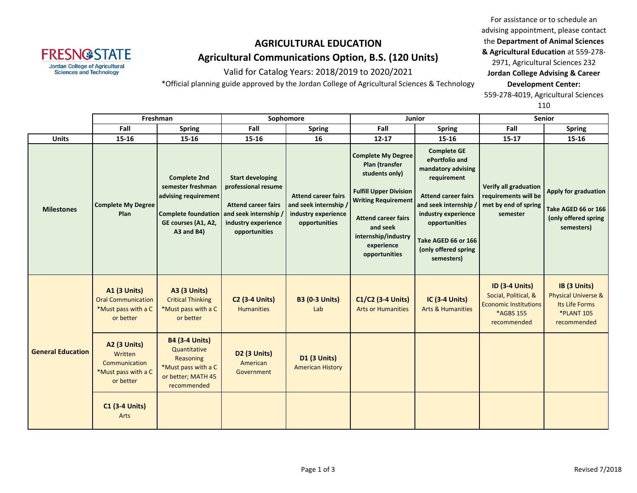

Valid for Catalog Years: 2018/2019 to 2020/2021

\*Official planning guide approved by the Jordan College of Agricultural Sciences & Technology

For assistance or to schedule an advising appointment, please contact the **Department of Animal Sciences & Agricultural Education** at 559-278- 2971, Agricultural Sciences 232 **Jordan College Advising & Career Development Center:** 559-278-4019, Agricultural Sciences

110

|                          | Freshman                                                                             |                                                                                                                                                  | Sophomore                                                                                                            |                                                                                             | <b>Junior</b>                                                                                                                                                                                                                |                                                                                                                                                                                                                                       | <b>Senior</b>                                                                                             |                                                                                                      |
|--------------------------|--------------------------------------------------------------------------------------|--------------------------------------------------------------------------------------------------------------------------------------------------|----------------------------------------------------------------------------------------------------------------------|---------------------------------------------------------------------------------------------|------------------------------------------------------------------------------------------------------------------------------------------------------------------------------------------------------------------------------|---------------------------------------------------------------------------------------------------------------------------------------------------------------------------------------------------------------------------------------|-----------------------------------------------------------------------------------------------------------|------------------------------------------------------------------------------------------------------|
|                          | Fall                                                                                 | <b>Spring</b>                                                                                                                                    | Fall                                                                                                                 | <b>Spring</b>                                                                               | Fall                                                                                                                                                                                                                         | <b>Spring</b>                                                                                                                                                                                                                         | Fall                                                                                                      | <b>Spring</b>                                                                                        |
| <b>Units</b>             | 15-16                                                                                | 15-16                                                                                                                                            | 15-16                                                                                                                | 16                                                                                          | $12 - 17$                                                                                                                                                                                                                    | $15 - 16$                                                                                                                                                                                                                             | $15 - 17$                                                                                                 | 15-16                                                                                                |
| <b>Milestones</b>        | <b>Complete My Degree</b><br>Plan                                                    | <b>Complete 2nd</b><br>semester freshman<br>advising requirement<br>Complete foundation and seek internship<br>GE courses (A1, A2,<br>A3 and B4) | <b>Start developing</b><br>professional resume<br><b>Attend career fairs</b><br>industry experience<br>opportunities | <b>Attend career fairs</b><br>and seek internship /<br>industry experience<br>opportunities | <b>Complete My Degree</b><br>Plan (transfer<br>students only)<br><b>Fulfill Upper Division</b><br><b>Writing Requirement</b><br><b>Attend career fairs</b><br>and seek<br>internship/industry<br>experience<br>opportunities | <b>Complete GE</b><br>ePortfolio and<br>mandatory advising<br>requirement<br><b>Attend career fairs</b><br>and seek internship /<br>industry experience<br>opportunities<br>Take AGED 66 or 166<br>(only offered spring<br>semesters) | <b>Verify all graduation</b><br>requirements will be<br>met by end of spring<br>semester                  | Apply for graduation<br>Take AGED 66 or 166<br>(only offered spring<br>semesters)                    |
|                          | <b>A1 (3 Units)</b><br><b>Oral Communication</b><br>*Must pass with a C<br>or better | <b>A3 (3 Units)</b><br><b>Critical Thinking</b><br>*Must pass with a C<br>or better                                                              | <b>C2 (3-4 Units)</b><br><b>Humanities</b>                                                                           | <b>B3 (0-3 Units)</b><br>Lab                                                                | C1/C2 (3-4 Units)<br><b>Arts or Humanities</b>                                                                                                                                                                               | <b>IC (3-4 Units)</b><br><b>Arts &amp; Humanities</b>                                                                                                                                                                                 | <b>ID (3-4 Units)</b><br>Social, Political, &<br><b>Economic Institutions</b><br>*AGBS 155<br>recommended | IB (3 Units)<br><b>Physical Universe &amp;</b><br>Its Life Forms<br><b>*PLANT 105</b><br>recommended |
| <b>General Education</b> | <b>A2 (3 Units)</b><br>Written<br>Communication<br>*Must pass with a C<br>or better  | <b>B4 (3-4 Units)</b><br>Quantitative<br>Reasoning<br>*Must pass with a C<br>or better; MATH 45<br>recommended                                   | D2 (3 Units)<br>American<br>Government                                                                               | <b>D1 (3 Units)</b><br><b>American History</b>                                              |                                                                                                                                                                                                                              |                                                                                                                                                                                                                                       |                                                                                                           |                                                                                                      |
|                          | <b>C1 (3-4 Units)</b><br>Arts                                                        |                                                                                                                                                  |                                                                                                                      |                                                                                             |                                                                                                                                                                                                                              |                                                                                                                                                                                                                                       |                                                                                                           |                                                                                                      |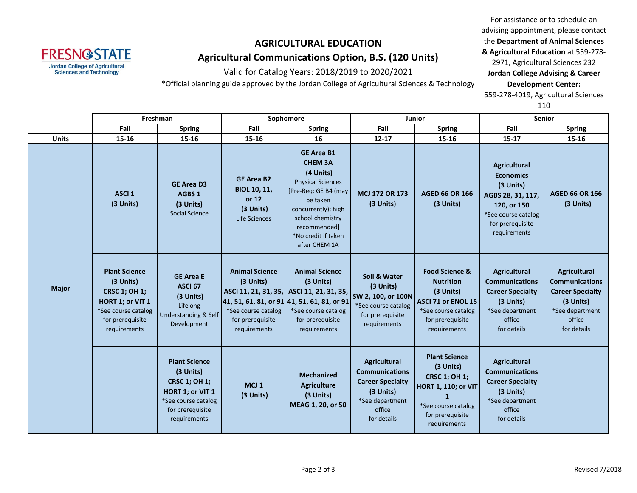**FRESN@STATE Jordan College of Agricultural Sciences and Technology** 

Valid for Catalog Years: 2018/2019 to 2020/2021

\*Official planning guide approved by the Jordan College of Agricultural Sciences & Technology

For assistance or to schedule an advising appointment, please contact the **Department of Animal Sciences & Agricultural Education** at 559-278- 2971, Agricultural Sciences 232 **Jordan College Advising & Career Development Center:** 559-278-4019, Agricultural Sciences

110

|              |                                                                                                                                          | Freshman                                                                                                                                        |                                                                                               | Sophomore                                                                                                                                                                                                           |                                                                                                                                  | Junior                                                                                                                                             | <b>Senior</b>                                                                                                                                       |                                                                                                                                  |
|--------------|------------------------------------------------------------------------------------------------------------------------------------------|-------------------------------------------------------------------------------------------------------------------------------------------------|-----------------------------------------------------------------------------------------------|---------------------------------------------------------------------------------------------------------------------------------------------------------------------------------------------------------------------|----------------------------------------------------------------------------------------------------------------------------------|----------------------------------------------------------------------------------------------------------------------------------------------------|-----------------------------------------------------------------------------------------------------------------------------------------------------|----------------------------------------------------------------------------------------------------------------------------------|
|              | Fall                                                                                                                                     | <b>Spring</b>                                                                                                                                   | Fall                                                                                          | <b>Spring</b>                                                                                                                                                                                                       | Fall                                                                                                                             | <b>Spring</b>                                                                                                                                      | Fall                                                                                                                                                | <b>Spring</b>                                                                                                                    |
| <b>Units</b> | $15 - 16$                                                                                                                                | 15-16                                                                                                                                           | 15-16                                                                                         | 16                                                                                                                                                                                                                  | $12 - 17$                                                                                                                        | 15-16                                                                                                                                              | $15 - 17$                                                                                                                                           | 15-16                                                                                                                            |
| <b>Major</b> | ASCI <sub>1</sub><br>(3 Units)                                                                                                           | <b>GE Area D3</b><br>AGBS <sub>1</sub><br>(3 Units)<br><b>Social Science</b>                                                                    | <b>GE Area B2</b><br><b>BIOL 10, 11,</b><br>or 12<br>(3 Units)<br>Life Sciences               | <b>GE Area B1</b><br><b>CHEM 3A</b><br>(4 Units)<br><b>Physical Sciences</b><br>[Pre-Req: GE B4 (may<br>be taken<br>concurrently); high<br>school chemistry<br>recommended]<br>*No credit if taken<br>after CHEM 1A | <b>MCJ 172 OR 173</b><br>(3 Units)                                                                                               | <b>AGED 66 OR 166</b><br>(3 Units)                                                                                                                 | <b>Agricultural</b><br><b>Economics</b><br>(3 Units)<br>AGBS 28, 31, 117,<br>120, or 150<br>*See course catalog<br>for prerequisite<br>requirements | <b>AGED 66 OR 166</b><br>(3 Units)                                                                                               |
|              | <b>Plant Science</b><br>(3 Units)<br><b>CRSC 1; OH 1;</b><br>HORT 1; or VIT 1<br>*See course catalog<br>for prerequisite<br>requirements | <b>GE Area E</b><br>ASCI <sub>67</sub><br>(3 Units)<br>Lifelong<br>Understanding & Self<br>Development                                          | <b>Animal Science</b><br>(3 Units)<br>*See course catalog<br>for prerequisite<br>requirements | <b>Animal Science</b><br>$(3$ Units)<br>ASCI 11, 21, 31, 35, ASCI 11, 21, 31, 35,<br>41, 51, 61, 81, or 91 41, 51, 61, 81, or 91<br>*See course catalog<br>for prerequisite<br>requirements                         | Soil & Water<br>$(3$ Units)<br>SW 2, 100, or 100N<br>*See course catalog<br>for prerequisite<br>requirements                     | <b>Food Science &amp;</b><br><b>Nutrition</b><br>(3 Units)<br>ASCI 71 or ENOL 15<br>*See course catalog<br>for prerequisite<br>requirements        | Agricultural<br><b>Communications</b><br><b>Career Specialty</b><br>(3 Units)<br>*See department<br>office<br>for details                           | <b>Agricultural</b><br><b>Communications</b><br><b>Career Specialty</b><br>(3 Units)<br>*See department<br>office<br>for details |
|              |                                                                                                                                          | <b>Plant Science</b><br>(3 Units)<br><b>CRSC 1; OH 1;</b><br><b>HORT 1; or VIT 1</b><br>*See course catalog<br>for prerequisite<br>requirements | MCJ <sub>1</sub><br>(3 Units)                                                                 | <b>Mechanized</b><br><b>Agriculture</b><br>(3 Units)<br>MEAG 1, 20, or 50                                                                                                                                           | <b>Agricultural</b><br><b>Communications</b><br><b>Career Specialty</b><br>(3 Units)<br>*See department<br>office<br>for details | <b>Plant Science</b><br>(3 Units)<br><b>CRSC 1; OH 1;</b><br><b>HORT 1, 110; or VIT</b><br>*See course catalog<br>for prerequisite<br>requirements | <b>Agricultural</b><br><b>Communications</b><br><b>Career Specialty</b><br>(3 Units)<br>*See department<br>office<br>for details                    |                                                                                                                                  |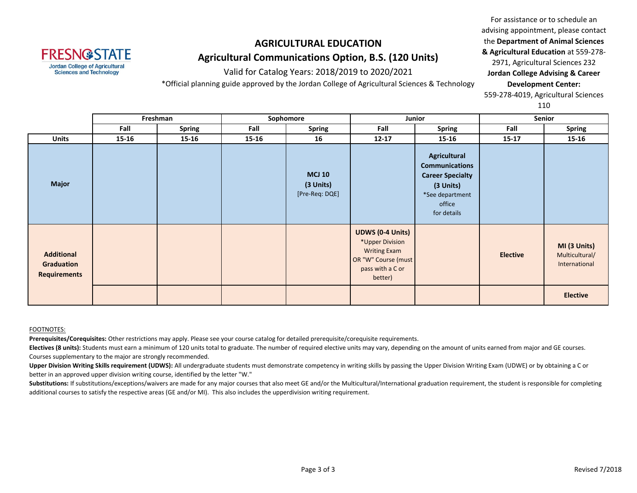

Valid for Catalog Years: 2018/2019 to 2020/2021

\*Official planning guide approved by the Jordan College of Agricultural Sciences & Technology

For assistance or to schedule an advising appointment, please contact the **Department of Animal Sciences & Agricultural Education** at 559-278- 2971, Agricultural Sciences 232 **Jordan College Advising & Career Development Center:** 559-278-4019, Agricultural Sciences 110

|                                                        | Freshman |               | Sophomore |                                              |                                                                                                                         | Junior                                                                                                                           | <b>Senior</b>   |                                                 |
|--------------------------------------------------------|----------|---------------|-----------|----------------------------------------------|-------------------------------------------------------------------------------------------------------------------------|----------------------------------------------------------------------------------------------------------------------------------|-----------------|-------------------------------------------------|
|                                                        | Fall     | <b>Spring</b> | Fall      | <b>Spring</b>                                | Fall                                                                                                                    | <b>Spring</b>                                                                                                                    | Fall            | <b>Spring</b>                                   |
| <b>Units</b>                                           | 15-16    | 15-16         | 15-16     | 16                                           | $12 - 17$                                                                                                               | 15-16                                                                                                                            | $15 - 17$       | $15 - 16$                                       |
| <b>Major</b>                                           |          |               |           | <b>MCJ 10</b><br>(3 Units)<br>[Pre-Req: DQE] |                                                                                                                         | <b>Agricultural</b><br><b>Communications</b><br><b>Career Specialty</b><br>(3 Units)<br>*See department<br>office<br>for details |                 |                                                 |
| <b>Additional</b><br>Graduation<br><b>Requirements</b> |          |               |           |                                              | <b>UDWS (0-4 Units)</b><br>*Upper Division<br><b>Writing Exam</b><br>OR "W" Course (must<br>pass with a C or<br>better) |                                                                                                                                  | <b>Elective</b> | MI (3 Units)<br>Multicultural/<br>International |
|                                                        |          |               |           |                                              |                                                                                                                         |                                                                                                                                  |                 | <b>Elective</b>                                 |

#### FOOTNOTES:

**Prerequisites/Corequisites:** Other restrictions may apply. Please see your course catalog for detailed prerequisite/corequisite requirements.

**Electives (8 units):** Students must earn a minimum of 120 units total to graduate. The number of required elective units may vary, depending on the amount of units earned from major and GE courses. Courses supplementary to the major are strongly recommended.

Upper Division Writing Skills requirement (UDWS): All undergraduate students must demonstrate competency in writing skills by passing the Upper Division Writing Exam (UDWE) or by obtaining a C or better in an approved upper division writing course, identified by the letter "W."

Substitutions: If substitutions/exceptions/waivers are made for any major courses that also meet GE and/or the Multicultural/International graduation requirement, the student is responsible for completing additional courses to satisfy the respective areas (GE and/or MI). This also includes the upperdivision writing requirement.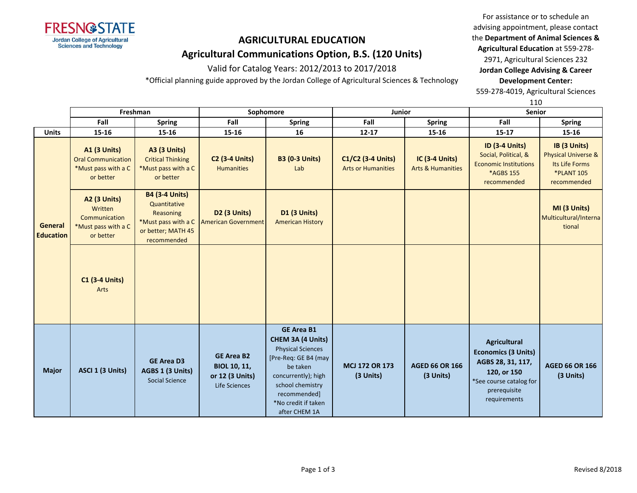

Valid for Catalog Years: 2012/2013 to 2017/2018

\*Official planning guide approved by the Jordan College of Agricultural Sciences & Technology

For assistance or to schedule an advising appointment, please contact the **Department of Animal Sciences & Agricultural Education** at 559-278-

2971, Agricultural Sciences 232 **Jordan College Advising & Career Development Center:**

559-278-4019, Agricultural Sciences

|                             |                                                                                      |                                                                                                                       |                                                                              |                                                                                                                                                                                                           |                                                |                                                | 110                                                                                                                                              |                                                                                                      |  |
|-----------------------------|--------------------------------------------------------------------------------------|-----------------------------------------------------------------------------------------------------------------------|------------------------------------------------------------------------------|-----------------------------------------------------------------------------------------------------------------------------------------------------------------------------------------------------------|------------------------------------------------|------------------------------------------------|--------------------------------------------------------------------------------------------------------------------------------------------------|------------------------------------------------------------------------------------------------------|--|
|                             |                                                                                      | Freshman                                                                                                              | Sophomore                                                                    |                                                                                                                                                                                                           | <b>Junior</b>                                  |                                                | <b>Senior</b>                                                                                                                                    |                                                                                                      |  |
|                             | Fall                                                                                 | <b>Spring</b>                                                                                                         | Fall                                                                         | <b>Spring</b>                                                                                                                                                                                             | Fall                                           | <b>Spring</b>                                  | Fall                                                                                                                                             | <b>Spring</b>                                                                                        |  |
| <b>Units</b>                | 15-16                                                                                | 15-16                                                                                                                 | $15 - 16$                                                                    | 16                                                                                                                                                                                                        | $12 - 17$                                      | 15-16                                          | $15 - 17$                                                                                                                                        | 15-16                                                                                                |  |
|                             | <b>A1 (3 Units)</b><br><b>Oral Communication</b><br>*Must pass with a C<br>or better | <b>A3 (3 Units)</b><br><b>Critical Thinking</b><br>*Must pass with a C<br>or better                                   | <b>C2 (3-4 Units)</b><br><b>Humanities</b>                                   | <b>B3 (0-3 Units)</b><br>Lab                                                                                                                                                                              | C1/C2 (3-4 Units)<br><b>Arts or Humanities</b> | IC (3-4 Units)<br><b>Arts &amp; Humanities</b> | <b>ID (3-4 Units)</b><br>Social, Political, &<br><b>Economic Institutions</b><br>*AGBS 155<br>recommended                                        | IB (3 Units)<br><b>Physical Universe &amp;</b><br>Its Life Forms<br><b>*PLANT 105</b><br>recommended |  |
| General<br><b>Education</b> | <b>A2 (3 Units)</b><br>Written<br>Communication<br>*Must pass with a C<br>or better  | <b>B4 (3-4 Units)</b><br>Quantitative<br><b>Reasoning</b><br>*Must pass with a C<br>or better; MATH 45<br>recommended | D <sub>2</sub> (3 Units)<br><b>American Government</b>                       | <b>D1 (3 Units)</b><br><b>American History</b>                                                                                                                                                            |                                                |                                                |                                                                                                                                                  | MI (3 Units)<br>Multicultural/Interna<br>tional                                                      |  |
|                             | <b>C1 (3-4 Units)</b><br>Arts                                                        |                                                                                                                       |                                                                              |                                                                                                                                                                                                           |                                                |                                                |                                                                                                                                                  |                                                                                                      |  |
| <b>Major</b>                | ASCI 1 (3 Units)                                                                     | <b>GE Area D3</b><br>AGBS 1 (3 Units)<br>Social Science                                                               | <b>GE Area B2</b><br><b>BIOL 10, 11,</b><br>or 12 (3 Units)<br>Life Sciences | <b>GE Area B1</b><br>CHEM 3A (4 Units)<br><b>Physical Sciences</b><br>[Pre-Req: GE B4 (may<br>be taken<br>concurrently); high<br>school chemistry<br>recommended]<br>*No credit if taken<br>after CHEM 1A | <b>MCJ 172 OR 173</b><br>(3 Units)             | <b>AGED 66 OR 166</b><br>(3 Units)             | <b>Agricultural</b><br><b>Economics (3 Units)</b><br>AGBS 28, 31, 117,<br>120, or 150<br>*See course catalog for<br>prerequisite<br>requirements | <b>AGED 66 OR 166</b><br>(3 Units)                                                                   |  |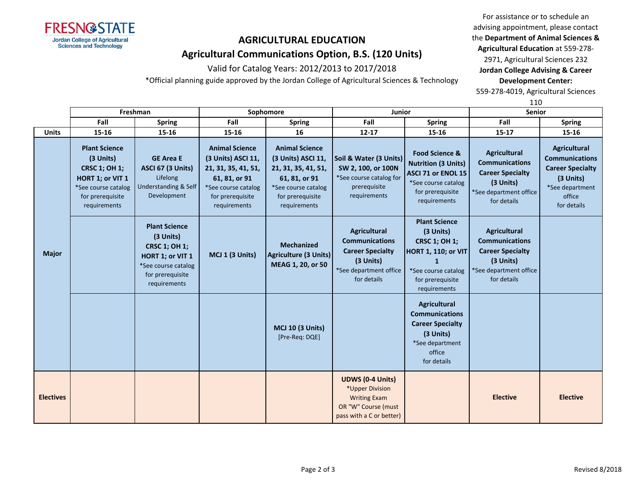

Valid for Catalog Years: 2012/2013 to 2017/2018

\*Official planning guide approved by the Jordan College of Agricultural Sciences & Technology

For assistance or to schedule an advising appointment, please contact the **Department of Animal Sciences & Agricultural Education** at 559-278-

2971, Agricultural Sciences 232 **Jordan College Advising & Career Development Center:**

559-278-4019, Agricultural Sciences

|                  |                                                                                                                                          |                                                                                                                                          |                                                                                                                                                |                                                                                                                                                |                                                                                                                               |                                                                                                                                                                    | 110                                                                                                                           |                                                                                                                                  |
|------------------|------------------------------------------------------------------------------------------------------------------------------------------|------------------------------------------------------------------------------------------------------------------------------------------|------------------------------------------------------------------------------------------------------------------------------------------------|------------------------------------------------------------------------------------------------------------------------------------------------|-------------------------------------------------------------------------------------------------------------------------------|--------------------------------------------------------------------------------------------------------------------------------------------------------------------|-------------------------------------------------------------------------------------------------------------------------------|----------------------------------------------------------------------------------------------------------------------------------|
|                  | Freshman                                                                                                                                 |                                                                                                                                          |                                                                                                                                                | Sophomore                                                                                                                                      | Junior                                                                                                                        |                                                                                                                                                                    | Senior                                                                                                                        |                                                                                                                                  |
|                  | Fall                                                                                                                                     | <b>Spring</b>                                                                                                                            | Fall                                                                                                                                           | <b>Spring</b>                                                                                                                                  | Fall                                                                                                                          | <b>Spring</b>                                                                                                                                                      | Fall                                                                                                                          | <b>Spring</b>                                                                                                                    |
| <b>Units</b>     | 15-16                                                                                                                                    | $15 - 16$                                                                                                                                | $15 - 16$                                                                                                                                      | 16                                                                                                                                             | $12 - 17$                                                                                                                     | 15-16                                                                                                                                                              | $15 - 17$                                                                                                                     | 15-16                                                                                                                            |
| <b>Major</b>     | <b>Plant Science</b><br>(3 Units)<br><b>CRSC 1; OH 1;</b><br>HORT 1; or VIT 1<br>*See course catalog<br>for prerequisite<br>requirements | <b>GE Area E</b><br><b>ASCI 67 (3 Units)</b><br>Lifelong<br><b>Understanding &amp; Self</b><br>Development                               | <b>Animal Science</b><br>(3 Units) ASCI 11,<br>21, 31, 35, 41, 51,<br>61, 81, or 91<br>*See course catalog<br>for prerequisite<br>requirements | <b>Animal Science</b><br>(3 Units) ASCI 11,<br>21, 31, 35, 41, 51,<br>61, 81, or 91<br>*See course catalog<br>for prerequisite<br>requirements | Soil & Water (3 Units)<br>SW 2, 100, or 100N<br>*See course catalog for<br>prerequisite<br>requirements                       | <b>Food Science &amp;</b><br><b>Nutrition (3 Units)</b><br>ASCI 71 or ENOL 15<br>*See course catalog<br>for prerequisite<br>requirements                           | <b>Agricultural</b><br><b>Communications</b><br><b>Career Specialty</b><br>(3 Units)<br>*See department office<br>for details | <b>Agricultural</b><br><b>Communications</b><br><b>Career Specialty</b><br>(3 Units)<br>*See department<br>office<br>for details |
|                  |                                                                                                                                          | <b>Plant Science</b><br>(3 Units)<br><b>CRSC 1; OH 1;</b><br>HORT 1; or VIT 1<br>*See course catalog<br>for prerequisite<br>requirements | MCJ 1 (3 Units)                                                                                                                                | <b>Mechanized</b><br>Agriculture (3 Units)<br>MEAG 1, 20, or 50                                                                                | <b>Agricultural</b><br><b>Communications</b><br><b>Career Specialty</b><br>(3 Units)<br>*See department office<br>for details | <b>Plant Science</b><br>(3 Units)<br><b>CRSC 1; OH 1;</b><br><b>HORT 1, 110; or VIT</b><br>$\mathbf{1}$<br>*See course catalog<br>for prerequisite<br>requirements | <b>Agricultural</b><br><b>Communications</b><br><b>Career Specialty</b><br>(3 Units)<br>*See department office<br>for details |                                                                                                                                  |
|                  |                                                                                                                                          |                                                                                                                                          |                                                                                                                                                | <b>MCJ 10 (3 Units)</b><br>[Pre-Req: DQE]                                                                                                      |                                                                                                                               | <b>Agricultural</b><br><b>Communications</b><br><b>Career Specialty</b><br>(3 Units)<br>*See department<br>office<br>for details                                   |                                                                                                                               |                                                                                                                                  |
| <b>Electives</b> |                                                                                                                                          |                                                                                                                                          |                                                                                                                                                |                                                                                                                                                | <b>UDWS (0-4 Units)</b><br>*Upper Division<br><b>Writing Exam</b><br>OR "W" Course (must<br>pass with a C or better)          |                                                                                                                                                                    | <b>Elective</b>                                                                                                               | <b>Elective</b>                                                                                                                  |